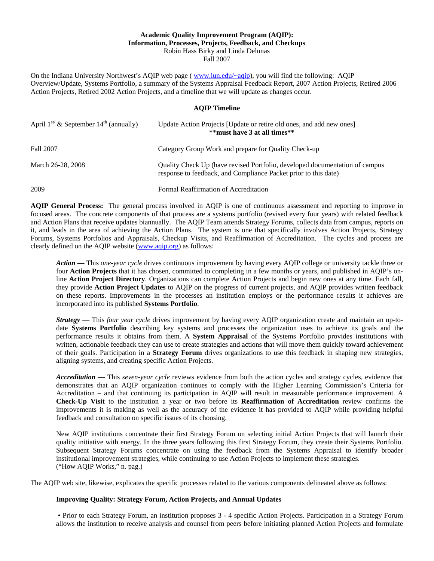### **Academic Quality Improvement Program (AQIP): Information, Processes, Projects, Feedback, and Checkups**  Robin Hass Birky and Linda Delunas Fall 2007

 Overview/Update, Systems Portfolio, a summary of the Systems Appraisal Feedback Report, 2007 Action Projects, Retired 2006 On the Indiana University Northwest's AQIP web page (*www.iun.edu/~aqip*), you will find the following: AQIP Action Projects, Retired 2002 Action Projects, and a timeline that we will update as changes occur.

#### **AQIP Timeline**

| April $1^{st}$ & September $14^{th}$ (annually) | Update Action Projects [Update or retire old ones, and add new ones]<br>**must have 3 at all times**                                           |
|-------------------------------------------------|------------------------------------------------------------------------------------------------------------------------------------------------|
| Fall 2007                                       | Category Group Work and prepare for Quality Check-up                                                                                           |
| March 26-28, 2008                               | Quality Check Up (have revised Portfolio, developed documentation of campus<br>response to feedback, and Compliance Packet prior to this date) |
| 2009                                            | Formal Reaffirmation of Accreditation                                                                                                          |

 Forums, Systems Portfolios and Appraisals, Checkup Visits, and Reaffirmation of Accreditation. The cycles and process are **AQIP General Process:** The general process involved in AQIP is one of continuous assessment and reporting to improve in focused areas. The concrete components of that process are a systems portfolio (revised every four years) with related feedback and Action Plans that receive updates biannually. The AQIP Team attends Strategy Forums, collects data from campus, reports on it, and leads in the area of achieving the Action Plans. The system is one that specifically involves Action Projects, Strategy clearly defined on the AQIP website (www.aqip.org) as follows:

 *Action* — This *one-year cycle* drives continuous improvement by having every AQIP college or university tackle three or four **Action Projects** that it has chosen, committed to completing in a few months or years, and published in AQIP's online **Action Project Directory**. Organizations can complete Action Projects and begin new ones at any time. Each fall, they provide **Action Project Updates** to AQIP on the progress of current projects, and AQIP provides written feedback on these reports. Improvements in the processes an institution employs or the performance results it achieves are incorporated into its published **Systems Portfolio**.

 date **Systems Portfolio** describing key systems and processes the organization uses to achieve its goals and the written, actionable feedback they can use to create strategies and actions that will move them quickly toward achievement *Strategy* — This *four year cycle* drives improvement by having every AQIP organization create and maintain an up-toperformance results it obtains from them. A **System Appraisal** of the Systems Portfolio provides institutions with of their goals. Participation in a **Strategy Forum** drives organizations to use this feedback in shaping new strategies, aligning systems, and creating specific Action Projects.

*Accreditation* — This *seven-year cycle* reviews evidence from both the action cycles and strategy cycles, evidence that demonstrates that an AQIP organization continues to comply with the Higher Learning Commission's Criteria for Accreditation – and that continuing its participation in AQIP will result in measurable performance improvement. A **Check-Up Visit** to the institution a year or two before its **Reaffirmation of Accreditation** review confirms the improvements it is making as well as the accuracy of the evidence it has provided to AQIP while providing helpful feedback and consultation on specific issues of its choosing.

 Subsequent Strategy Forums concentrate on using the feedback from the Systems Appraisal to identify broader ("How AQIP Works," n. pag.) New AQIP institutions concentrate their first Strategy Forum on selecting initial Action Projects that will launch their quality initiative with energy. In the three years following this first Strategy Forum, they create their Systems Portfolio. institutional improvement strategies, while continuing to use Action Projects to implement these strategies.

The AQIP web site, likewise, explicates the specific processes related to the various components delineated above as follows:

### **Improving Quality: Strategy Forum, Action Projects, and Annual Updates**

• Prior to each Strategy Forum, an institution proposes 3 - 4 specific Action Projects. Participation in a Strategy Forum allows the institution to receive analysis and counsel from peers before initiating planned Action Projects and formulate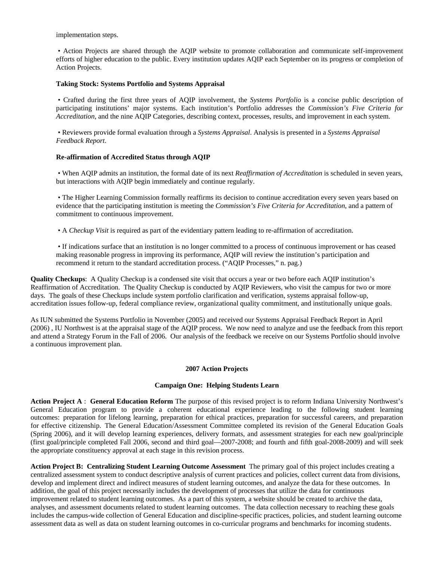implementation steps.

• Action Projects are shared through the AQIP website to promote collaboration and communicate self-improvement efforts of higher education to the public. Every institution updates AQIP each September on its progress or completion of Action Projects.

### **Taking Stock: Systems Portfolio and Systems Appraisal**

 • Crafted during the first three years of AQIP involvement, the *Systems Portfolio* is a concise public description of participating institutions' major systems. Each institution's Portfolio addresses the *Commission's Five Criteria for Accreditation*, and the nine AQIP Categories, describing context, processes, results, and improvement in each system.

 • Reviewers provide formal evaluation through a *Systems Appraisal*. Analysis is presented in a *Systems Appraisal Feedback Report*.

### **Re-affirmation of Accredited Status through AQIP**

 • When AQIP admits an institution, the formal date of its next *Reaffirmation of Accreditation* is scheduled in seven years, but interactions with AQIP begin immediately and continue regularly.

 • The Higher Learning Commission formally reaffirms its decision to continue accreditation every seven years based on evidence that the participating institution is meeting the *Commission's Five Criteria for Accreditation*, and a pattern of commitment to continuous improvement.

• A *Checkup Visit* is required as part of the evidentiary pattern leading to re-affirmation of accreditation.

• If indications surface that an institution is no longer committed to a process of continuous improvement or has ceased making reasonable progress in improving its performance, AQIP will review the institution's participation and recommend it return to the standard accreditation process. ("AQIP Processes," n. pag.)

**Quality Checkups**: A Quality Checkup is a condensed site visit that occurs a year or two before each AQIP institution's Reaffirmation of Accreditation. The Quality Checkup is conducted by AQIP Reviewers, who visit the campus for two or more days. The goals of these Checkups include system portfolio clarification and verification, systems appraisal follow-up, accreditation issues follow-up, federal compliance review, organizational quality commitment, and institutionally unique goals.

 (2006) , IU Northwest is at the appraisal stage of the AQIP process. We now need to analyze and use the feedback from this report As IUN submitted the Systems Portfolio in November (2005) and received our Systems Appraisal Feedback Report in April and attend a Strategy Forum in the Fall of 2006. Our analysis of the feedback we receive on our Systems Portfolio should involve a continuous improvement plan.

### **2007 Action Projects**

## **Campaign One: Helping Students Learn**

**Action Project A** : **General Education Reform** The purpose of this revised project is to reform Indiana University Northwest's General Education program to provide a coherent educational experience leading to the following student learning outcomes: preparation for lifelong learning, preparation for ethical practices, preparation for successful careers, and preparation for effective citizenship. The General Education/Assessment Committee completed its revision of the General Education Goals (Spring 2006), and it will develop learning experiences, delivery formats, and assessment strategies for each new goal/principle (first goal/principle completed Fall 2006, second and third goal—2007-2008; and fourth and fifth goal-2008-2009) and will seek the appropriate constituency approval at each stage in this revision process.

**Action Project B: Centralizing Student Learning Outcome Assessment** The primary goal of this project includes creating a centralized assessment system to conduct descriptive analysis of current practices and policies, collect current data from divisions, develop and implement direct and indirect measures of student learning outcomes, and analyze the data for these outcomes. In addition, the goal of this project necessarily includes the development of processes that utilize the data for continuous improvement related to student learning outcomes. As a part of this system, a website should be created to archive the data, analyses, and assessment documents related to student learning outcomes. The data collection necessary to reaching these goals includes the campus-wide collection of General Education and discipline-specific practices, policies, and student learning outcome assessment data as well as data on student learning outcomes in co-curricular programs and benchmarks for incoming students.